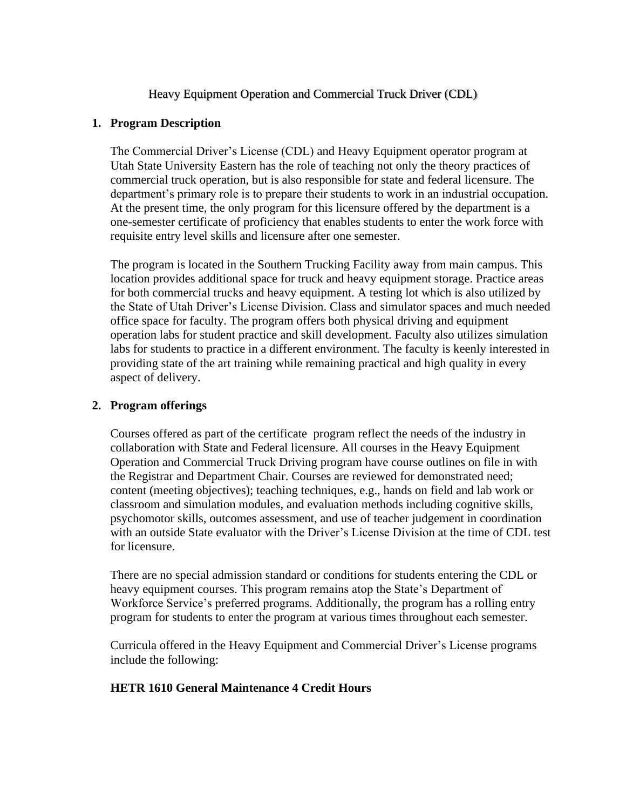### Heavy Equipment Operation and Commercial Truck Driver (CDL)

#### **1. Program Description**

The Commercial Driver's License (CDL) and Heavy Equipment operator program at Utah State University Eastern has the role of teaching not only the theory practices of commercial truck operation, but is also responsible for state and federal licensure. The department's primary role is to prepare their students to work in an industrial occupation. At the present time, the only program for this licensure offered by the department is a one-semester certificate of proficiency that enables students to enter the work force with requisite entry level skills and licensure after one semester.

The program is located in the Southern Trucking Facility away from main campus. This location provides additional space for truck and heavy equipment storage. Practice areas for both commercial trucks and heavy equipment. A testing lot which is also utilized by the State of Utah Driver's License Division. Class and simulator spaces and much needed office space for faculty. The program offers both physical driving and equipment operation labs for student practice and skill development. Faculty also utilizes simulation labs for students to practice in a different environment. The faculty is keenly interested in providing state of the art training while remaining practical and high quality in every aspect of delivery.

#### **2. Program offerings**

Courses offered as part of the certificate program reflect the needs of the industry in collaboration with State and Federal licensure. All courses in the Heavy Equipment Operation and Commercial Truck Driving program have course outlines on file in with the Registrar and Department Chair. Courses are reviewed for demonstrated need; content (meeting objectives); teaching techniques, e.g., hands on field and lab work or classroom and simulation modules, and evaluation methods including cognitive skills, psychomotor skills, outcomes assessment, and use of teacher judgement in coordination with an outside State evaluator with the Driver's License Division at the time of CDL test for licensure.

There are no special admission standard or conditions for students entering the CDL or heavy equipment courses. This program remains atop the State's Department of Workforce Service's preferred programs. Additionally, the program has a rolling entry program for students to enter the program at various times throughout each semester.

Curricula offered in the Heavy Equipment and Commercial Driver's License programs include the following:

#### **HETR 1610 General Maintenance 4 Credit Hours**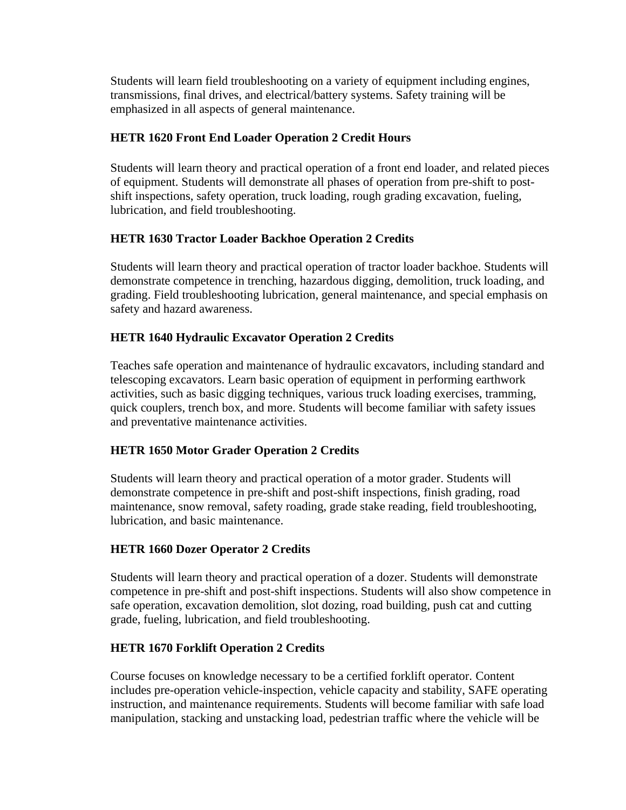Students will learn field troubleshooting on a variety of equipment including engines, transmissions, final drives, and electrical/battery systems. Safety training will be emphasized in all aspects of general maintenance.

## **HETR 1620 Front End Loader Operation 2 Credit Hours**

Students will learn theory and practical operation of a front end loader, and related pieces of equipment. Students will demonstrate all phases of operation from pre-shift to postshift inspections, safety operation, truck loading, rough grading excavation, fueling, lubrication, and field troubleshooting.

### **HETR 1630 Tractor Loader Backhoe Operation 2 Credits**

Students will learn theory and practical operation of tractor loader backhoe. Students will demonstrate competence in trenching, hazardous digging, demolition, truck loading, and grading. Field troubleshooting lubrication, general maintenance, and special emphasis on safety and hazard awareness.

## **HETR 1640 Hydraulic Excavator Operation 2 Credits**

Teaches safe operation and maintenance of hydraulic excavators, including standard and telescoping excavators. Learn basic operation of equipment in performing earthwork activities, such as basic digging techniques, various truck loading exercises, tramming, quick couplers, trench box, and more. Students will become familiar with safety issues and preventative maintenance activities.

# **HETR 1650 Motor Grader Operation 2 Credits**

Students will learn theory and practical operation of a motor grader. Students will demonstrate competence in pre-shift and post-shift inspections, finish grading, road maintenance, snow removal, safety roading, grade stake reading, field troubleshooting, lubrication, and basic maintenance.

### **HETR 1660 Dozer Operator 2 Credits**

Students will learn theory and practical operation of a dozer. Students will demonstrate competence in pre-shift and post-shift inspections. Students will also show competence in safe operation, excavation demolition, slot dozing, road building, push cat and cutting grade, fueling, lubrication, and field troubleshooting.

### **HETR 1670 Forklift Operation 2 Credits**

Course focuses on knowledge necessary to be a certified forklift operator. Content includes pre-operation vehicle-inspection, vehicle capacity and stability, SAFE operating instruction, and maintenance requirements. Students will become familiar with safe load manipulation, stacking and unstacking load, pedestrian traffic where the vehicle will be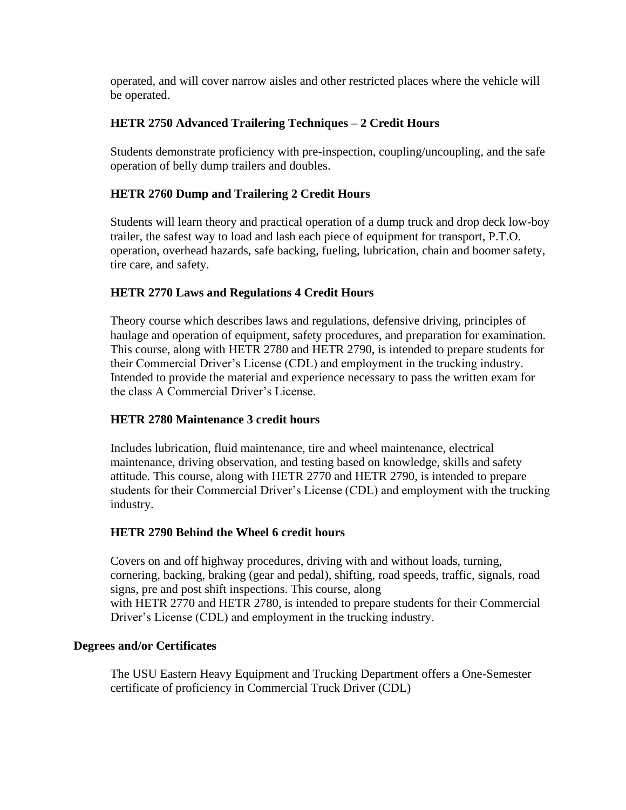operated, and will cover narrow aisles and other restricted places where the vehicle will be operated.

## **HETR 2750 Advanced Trailering Techniques – 2 Credit Hours**

Students demonstrate proficiency with pre-inspection, coupling/uncoupling, and the safe operation of belly dump trailers and doubles.

## **HETR 2760 Dump and Trailering 2 Credit Hours**

Students will learn theory and practical operation of a dump truck and drop deck low-boy trailer, the safest way to load and lash each piece of equipment for transport, P.T.O. operation, overhead hazards, safe backing, fueling, lubrication, chain and boomer safety, tire care, and safety.

## **HETR 2770 Laws and Regulations 4 Credit Hours**

Theory course which describes laws and regulations, defensive driving, principles of haulage and operation of equipment, safety procedures, and preparation for examination. This course, along with [HETR](https://catalog.usu.edu/preview_course_nopop.php?catoid=12&coid=89935) 2780 and [HETR](https://catalog.usu.edu/preview_course_nopop.php?catoid=12&coid=89936) 2790, is intended to prepare students for their Commercial Driver's License (CDL) and employment in the trucking industry. Intended to provide the material and experience necessary to pass the written exam for the class A Commercial Driver's License.

### **HETR 2780 Maintenance 3 credit hours**

Includes lubrication, fluid maintenance, tire and wheel maintenance, electrical maintenance, driving observation, and testing based on knowledge, skills and safety attitude. This course, along with [HETR](https://catalog.usu.edu/preview_course_nopop.php?catoid=12&coid=89934) 2770 and [HETR](https://catalog.usu.edu/preview_course_nopop.php?catoid=12&coid=89936) 2790, is intended to prepare students for their Commercial Driver's License (CDL) and employment with the trucking industry.

### **HETR 2790 Behind the Wheel 6 credit hours**

Covers on and off highway procedures, driving with and without loads, turning, cornering, backing, braking (gear and pedal), shifting, road speeds, traffic, signals, road signs, pre and post shift inspections. This course, along with [HETR](https://catalog.usu.edu/preview_course_nopop.php?catoid=12&coid=89934) 2770 and [HETR](https://catalog.usu.edu/preview_course_nopop.php?catoid=12&coid=89935) 2780, is intended to prepare students for their Commercial Driver's License (CDL) and employment in the trucking industry.

### **Degrees and/or Certificates**

The USU Eastern Heavy Equipment and Trucking Department offers a One-Semester certificate of proficiency in Commercial Truck Driver (CDL)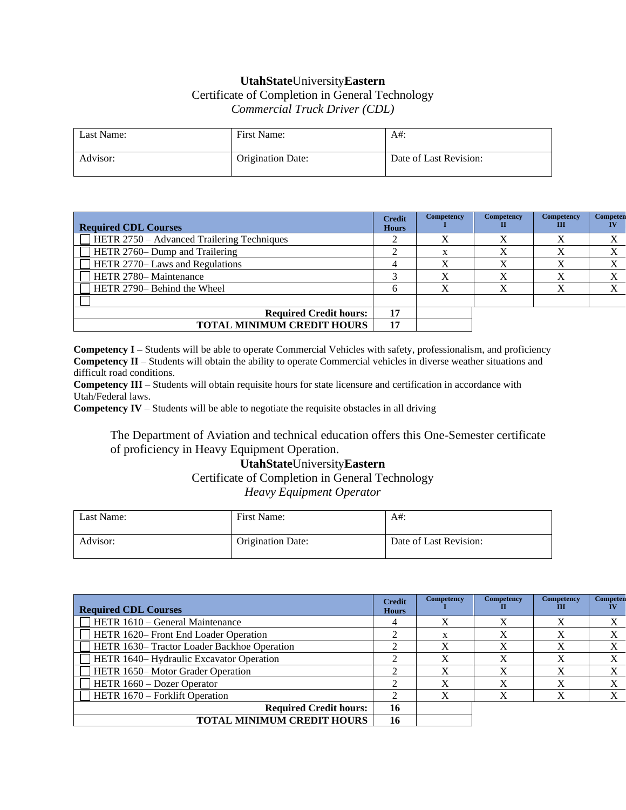## **UtahState**University**Eastern** Certificate of Completion in General Technology *Commercial Truck Driver (CDL)*

| Last Name: | First Name:              | A#:                    |
|------------|--------------------------|------------------------|
| Advisor:   | <b>Origination Date:</b> | Date of Last Revision: |

| <b>Required CDL Courses</b>                       | <b>Credit</b><br><b>Hours</b> | <b>Competency</b> | Competency | Competency<br>ш | Competen |
|---------------------------------------------------|-------------------------------|-------------------|------------|-----------------|----------|
| $\Box$ HETR 2750 – Advanced Trailering Techniques |                               |                   | v          |                 | X        |
| $\Box$ HETR 2760– Dump and Trailering             |                               |                   |            |                 | X        |
| <b>HETR 2770– Laws and Regulations</b>            |                               | X                 | v          |                 | X        |
| HETR 2780-Maintenance                             |                               | v                 | v          |                 | X        |
| HETR 2790– Behind the Wheel                       |                               | v                 |            |                 | X        |
|                                                   |                               |                   |            |                 |          |
| <b>Required Credit hours:</b>                     |                               |                   |            |                 |          |
| <b>TOTAL MINIMUM CREDIT HOURS</b>                 |                               |                   |            |                 |          |

**Competency I –** Students will be able to operate Commercial Vehicles with safety, professionalism, and proficiency **Competency II** – Students will obtain the ability to operate Commercial vehicles in diverse weather situations and difficult road conditions.

**Competency III** – Students will obtain requisite hours for state licensure and certification in accordance with Utah/Federal laws.

**Competency IV** – Students will be able to negotiate the requisite obstacles in all driving

The Department of Aviation and technical education offers this One-Semester certificate of proficiency in Heavy Equipment Operation.

### **UtahState**University**Eastern** Certificate of Completion in General Technology *Heavy Equipment Operator*

| Last Name: | First Name:              | $A#$ :                 |
|------------|--------------------------|------------------------|
| Advisor:   | <b>Origination Date:</b> | Date of Last Revision: |

| <b>Required CDL Courses</b>                        | <b>Credit</b><br><b>Hours</b> | Competency | Competency | Competency<br>ш | Competen |
|----------------------------------------------------|-------------------------------|------------|------------|-----------------|----------|
| HETR 1610 – General Maintenance                    |                               |            | v          | X               | X        |
| <b>HETR 1620–Front End Loader Operation</b>        |                               |            | v          |                 | X        |
| <b>HETR 1630– Tractor Loader Backhoe Operation</b> |                               |            | X          |                 | Х        |
| HETR 1640– Hydraulic Excavator Operation           |                               |            | X          |                 | X        |
| HETR 1650-Motor Grader Operation                   |                               |            | X          |                 | X        |
| <b>HETR</b> 1660 – Dozer Operator                  |                               | v          | v          |                 | X        |
| $\Box$ HETR 1670 – Forklift Operation              |                               |            | v          |                 | X        |
| <b>Required Credit hours:</b>                      | 16                            |            |            |                 |          |
| <b>TOTAL MINIMUM CREDIT HOURS</b>                  | 16                            |            |            |                 |          |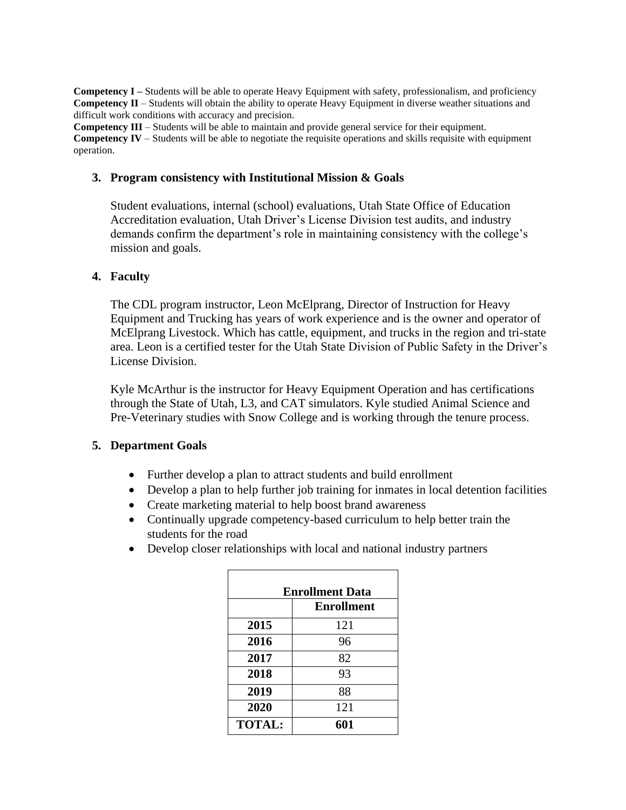**Competency I** – Students will be able to operate Heavy Equipment with safety, professionalism, and proficiency **Competency II** – Students will obtain the ability to operate Heavy Equipment in diverse weather situations and difficult work conditions with accuracy and precision.

**Competency III** – Students will be able to maintain and provide general service for their equipment. **Competency IV** – Students will be able to negotiate the requisite operations and skills requisite with equipment operation.

#### **3. Program consistency with Institutional Mission & Goals**

Student evaluations, internal (school) evaluations, Utah State Office of Education Accreditation evaluation, Utah Driver's License Division test audits, and industry demands confirm the department's role in maintaining consistency with the college's mission and goals.

#### **4. Faculty**

The CDL program instructor, Leon McElprang, Director of Instruction for Heavy Equipment and Trucking has years of work experience and is the owner and operator of McElprang Livestock. Which has cattle, equipment, and trucks in the region and tri-state area. Leon is a certified tester for the Utah State Division of Public Safety in the Driver's License Division.

Kyle McArthur is the instructor for Heavy Equipment Operation and has certifications through the State of Utah, L3, and CAT simulators. Kyle studied Animal Science and Pre-Veterinary studies with Snow College and is working through the tenure process.

### **5. Department Goals**

- Further develop a plan to attract students and build enrollment
- Develop a plan to help further job training for inmates in local detention facilities
- Create marketing material to help boost brand awareness
- Continually upgrade competency-based curriculum to help better train the students for the road
- Develop closer relationships with local and national industry partners

| <b>Enrollment Data</b> |                   |  |
|------------------------|-------------------|--|
|                        | <b>Enrollment</b> |  |
| 2015                   | 121               |  |
| 2016                   | 96                |  |
| 2017                   | 82                |  |
| 2018                   | 93                |  |
| 2019                   | 88                |  |
| 2020                   | 121               |  |
| <b>TOTAL:</b>          | 601               |  |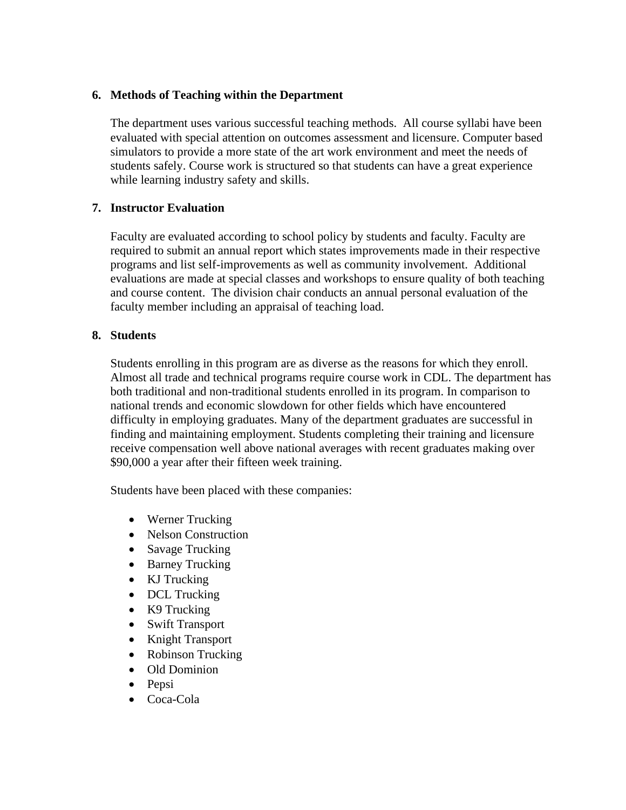#### **6. Methods of Teaching within the Department**

The department uses various successful teaching methods. All course syllabi have been evaluated with special attention on outcomes assessment and licensure. Computer based simulators to provide a more state of the art work environment and meet the needs of students safely. Course work is structured so that students can have a great experience while learning industry safety and skills.

### **7. Instructor Evaluation**

Faculty are evaluated according to school policy by students and faculty. Faculty are required to submit an annual report which states improvements made in their respective programs and list self-improvements as well as community involvement. Additional evaluations are made at special classes and workshops to ensure quality of both teaching and course content. The division chair conducts an annual personal evaluation of the faculty member including an appraisal of teaching load.

### **8. Students**

Students enrolling in this program are as diverse as the reasons for which they enroll. Almost all trade and technical programs require course work in CDL. The department has both traditional and non-traditional students enrolled in its program. In comparison to national trends and economic slowdown for other fields which have encountered difficulty in employing graduates. Many of the department graduates are successful in finding and maintaining employment. Students completing their training and licensure receive compensation well above national averages with recent graduates making over \$90,000 a year after their fifteen week training.

Students have been placed with these companies:

- Werner Trucking
- Nelson Construction
- Savage Trucking
- Barney Trucking
- KJ Trucking
- DCL Trucking
- K9 Trucking
- Swift Transport
- Knight Transport
- Robinson Trucking
- Old Dominion
- Pepsi
- Coca-Cola